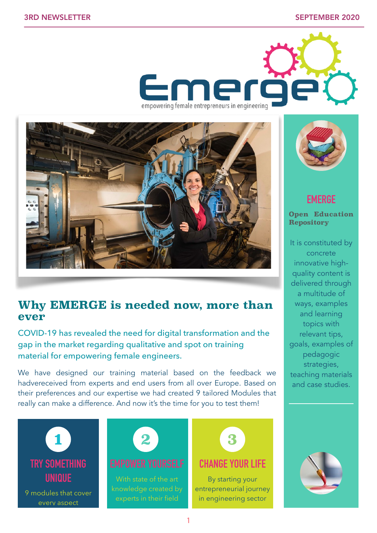



# **Why EMERGE is needed now, more than ever**

COVID-19 has revealed the need for digital transformation and the gap in the market regarding qualitative and spot on training material for empowering female engineers.

We have designed our training material based on the feedback we hadvereceived from experts and end users from all over Europe. Based on their preferences and our expertise we had created 9 tailored Modules that really can make a difference. And now it's the time for you to test them!



every aspect





## **CHANGE YOUR LIFE**

By starting your entrepreneurial journey in engineering sector



## **EMERGE**

**Open Education Repository** 

It is constituted by concrete innovative highquality content is delivered through a multitude of ways, examples and learning topics with relevant tips, goals, examples of pedagogic strategies, teaching materials and case studies.